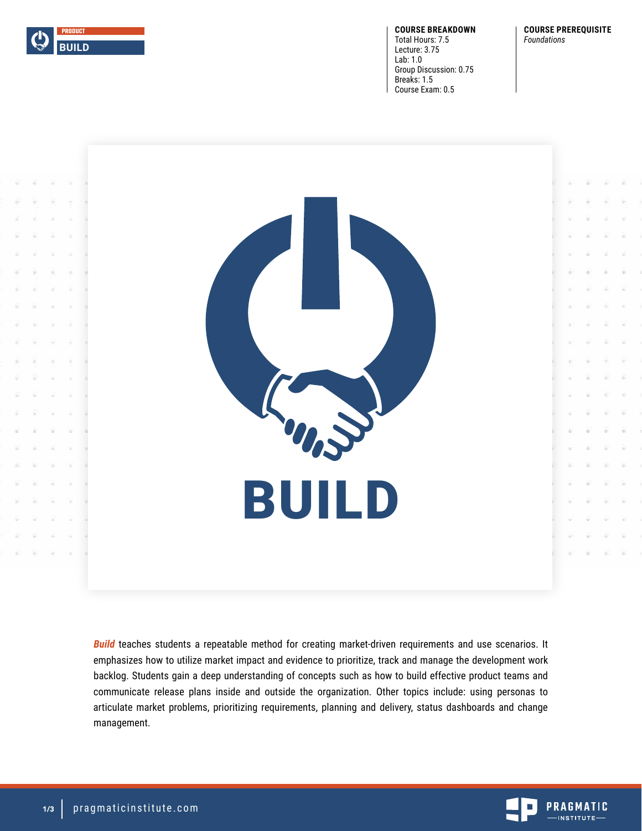

**COURSE BREAKDOWN** Total Hours: 7.5 Lecture: 3.75 Lab: 1.0 Group Discussion: 0.75 Breaks: 1.5 Course Exam: 0.5

**COURSE PREREQUISITE** *Foundations*



**Build** teaches students a repeatable method for creating market-driven requirements and use scenarios. It emphasizes how to utilize market impact and evidence to prioritize, track and manage the development work backlog. Students gain a deep understanding of concepts such as how to build effective product teams and communicate release plans inside and outside the organization. Other topics include: using personas to articulate market problems, prioritizing requirements, planning and delivery, status dashboards and change management.

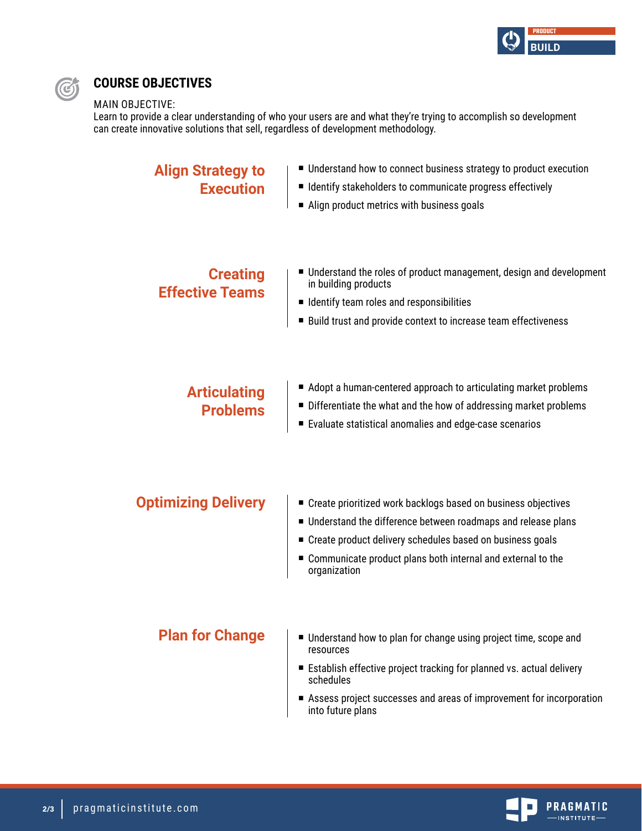



# **COURSE OBJECTIVES**

### MAIN OBJECTIVE:

Learn to provide a clear understanding of who your users are and what they're trying to accomplish so development can create innovative solutions that sell, regardless of development methodology.

| <b>Align Strategy to</b><br><b>Execution</b> | ■ Understand how to connect business strategy to product execution<br>■ Identify stakeholders to communicate progress effectively<br>Align product metrics with business goals                                                                                                    |
|----------------------------------------------|-----------------------------------------------------------------------------------------------------------------------------------------------------------------------------------------------------------------------------------------------------------------------------------|
| <b>Creating</b><br><b>Effective Teams</b>    | ■ Understand the roles of product management, design and development<br>in building products<br>■ Identify team roles and responsibilities<br>■ Build trust and provide context to increase team effectiveness                                                                    |
| <b>Articulating</b><br><b>Problems</b>       | ■ Adopt a human-centered approach to articulating market problems<br>Differentiate the what and the how of addressing market problems<br>Evaluate statistical anomalies and edge-case scenarios                                                                                   |
| <b>Optimizing Delivery</b>                   | ■ Create prioritized work backlogs based on business objectives<br>■ Understand the difference between roadmaps and release plans<br>■ Create product delivery schedules based on business goals<br>■ Communicate product plans both internal and external to the<br>organization |
| <b>Plan for Change</b>                       | ■ Understand how to plan for change using project time, scope and<br>resources                                                                                                                                                                                                    |

- Establish effective project tracking for planned vs. actual delivery schedules
- Assess project successes and areas of improvement for incorporation into future plans